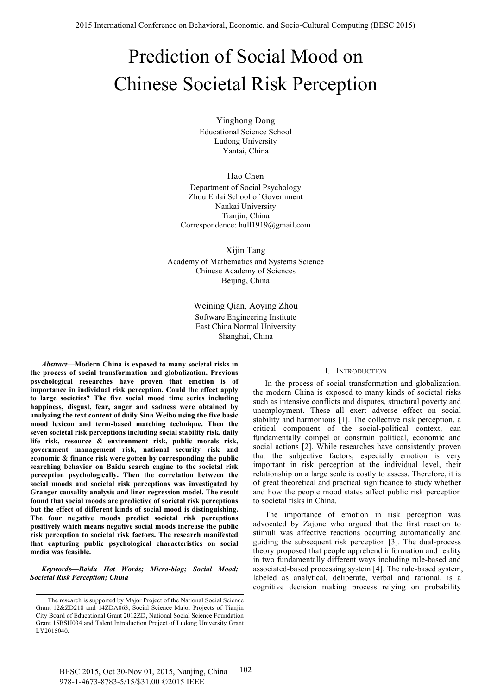# Prediction of Social Mood on Chinese Societal Risk Perception

Yinghong Dong Educational Science School Ludong University Yantai, China

Hao Chen Department of Social Psychology Zhou Enlai School of Government Nankai University Tianiin, China Correspondence: hull1919@gmail.com

Xijin Tang Academy of Mathematics and Systems Science Chinese Academy of Sciences Beijing, China

> Weining Qian, Aoying Zhou Software Engineering Institute East China Normal University Shanghai, China

*Abstract***—Modern China is exposed to many societal risks in the process of social transformation and globalization. Previous psychological researches have proven that emotion is of importance in individual risk perception. Could the effect apply to large societies? The five social mood time series including happiness, disgust, fear, anger and sadness were obtained by analyzing the text content of daily Sina Weibo using the five basic mood lexicon and term-based matching technique. Then the seven societal risk perceptions including social stability risk, daily life risk, resource & environment risk, public morals risk, government management risk, national security risk and economic & finance risk were gotten by corresponding the public searching behavior on Baidu search engine to the societal risk perception psychologically. Then the correlation between the social moods and societal risk perceptions was investigated by Granger causality analysis and liner regression model. The result found that social moods are predictive of societal risk perceptions but the effect of different kinds of social mood is distinguishing. The four negative moods predict societal risk perceptions positively which means negative social moods increase the public risk perception to societal risk factors. The research manifested that capturing public psychological characteristics on social media was feasible.**

*Keywords—Baidu Hot Words; Micro-blog; Social Mood; Societal Risk Perception; China*

## I. INTRODUCTION

In the process of social transformation and globalization, the modern China is exposed to many kinds of societal risks such as intensive conflicts and disputes, structural poverty and unemployment. These all exert adverse effect on social stability and harmonious [1]. The collective risk perception, a critical component of the social-political context, can fundamentally compel or constrain political, economic and social actions [2]. While researches have consistently proven that the subjective factors, especially emotion is very important in risk perception at the individual level, their relationship on a large scale is costly to assess. Therefore, it is of great theoretical and practical significance to study whether and how the people mood states affect public risk perception to societal risks in China.

The importance of emotion in risk perception was advocated by Zajonc who argued that the first reaction to stimuli was affective reactions occurring automatically and guiding the subsequent risk perception [3]. The dual-process theory proposed that people apprehend information and reality in two fundamentally different ways including rule-based and associated-based processing system [4]. The rule-based system, labeled as analytical, deliberate, verbal and rational, is a cognitive decision making process relying on probability

The research is supported by Major Project of the National Social Science Grant 12&ZD218 and 14ZDA063, Social Science Major Projects of Tianjin City Board of Educational Grant 2012ZD, National Social Science Foundation Grant 15BSH034 and Talent Introduction Project of Ludong University Grant LY2015040.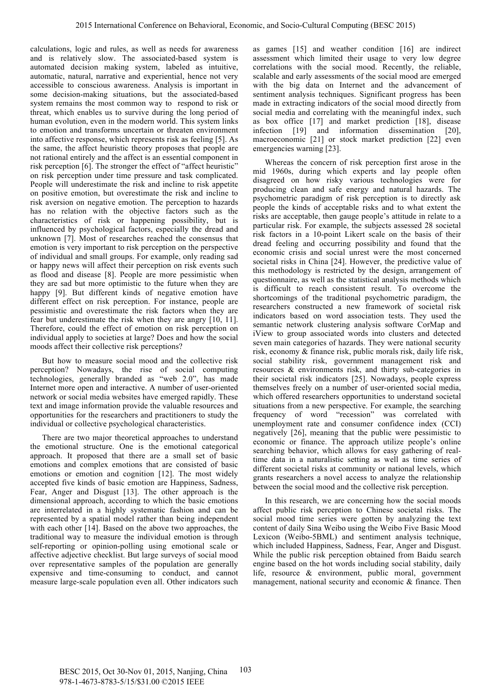calculations, logic and rules, as well as needs for awareness and is relatively slow. The associated-based system is automated decision making system, labeled as intuitive, automatic, natural, narrative and experiential, hence not very accessible to conscious awareness. Analysis is important in some decision-making situations, but the associated-based system remains the most common way to respond to risk or threat, which enables us to survive during the long period of human evolution, even in the modern world. This system links to emotion and transforms uncertain or threaten environment into affective response, which represents risk as feeling [5]. As the same, the affect heuristic theory proposes that people are not rational entirely and the affect is an essential component in risk perception [6]. The stronger the effect of "affect heuristic" on risk perception under time pressure and task complicated. People will underestimate the risk and incline to risk appetite on positive emotion, but overestimate the risk and incline to risk aversion on negative emotion. The perception to hazards has no relation with the objective factors such as the characteristics of risk or happening possibility, but is influenced by psychological factors, especially the dread and unknown [7]. Most of researches reached the consensus that emotion is very important to risk perception on the perspective of individual and small groups. For example, only reading sad or happy news will affect their perception on risk events such as flood and disease [8]. People are more pessimistic when they are sad but more optimistic to the future when they are happy [9]. But different kinds of negative emotion have different effect on risk perception. For instance, people are pessimistic and overestimate the risk factors when they are fear but underestimate the risk when they are angry [10, 11]. Therefore, could the effect of emotion on risk perception on individual apply to societies at large? Does and how the social moods affect their collective risk perceptions?

But how to measure social mood and the collective risk perception? Nowadays, the rise of social computing technologies, generally branded as "web 2.0", has made Internet more open and interactive. A number of user-oriented network or social media websites have emerged rapidly. These text and image information provide the valuable resources and opportunities for the researchers and practitioners to study the individual or collective psychological characteristics.

There are two major theoretical approaches to understand the emotional structure. One is the emotional categorical approach. It proposed that there are a small set of basic emotions and complex emotions that are consisted of basic emotions or emotion and cognition [12]. The most widely accepted five kinds of basic emotion are Happiness, Sadness, Fear, Anger and Disgust [13]. The other approach is the dimensional approach, according to which the basic emotions are interrelated in a highly systematic fashion and can be represented by a spatial model rather than being independent with each other [14]. Based on the above two approaches, the traditional way to measure the individual emotion is through self-reporting or opinion-polling using emotional scale or affective adjective checklist. But large surveys of social mood over representative samples of the population are generally expensive and time-consuming to conduct, and cannot measure large-scale population even all. Other indicators such as games [15] and weather condition [16] are indirect assessment which limited their usage to very low degree correlations with the social mood. Recently, the reliable, scalable and early assessments of the social mood are emerged with the big data on Internet and the advancement of sentiment analysis techniques. Significant progress has been made in extracting indicators of the social mood directly from social media and correlating with the meaningful index, such as box office [17] and market prediction [18], disease infection [19] and information dissemination [20], macroeconomic [21] or stock market prediction [22] even emergencies warning [23].

Whereas the concern of risk perception first arose in the mid 1960s, during which experts and lay people often disagreed on how risky various technologies were for producing clean and safe energy and natural hazards. The psychometric paradigm of risk perception is to directly ask people the kinds of acceptable risks and to what extent the risks are acceptable, then gauge people's attitude in relate to a particular risk. For example, the subjects assessed 28 societal risk factors in a 10-point Likert scale on the basis of their dread feeling and occurring possibility and found that the economic crisis and social unrest were the most concerned societal risks in China [24]. However, the predictive value of this methodology is restricted by the design, arrangement of questionnaire, as well as the statistical analysis methods which is difficult to reach consistent result. To overcome the shortcomings of the traditional psychometric paradigm, the researchers constructed a new framework of societal risk indicators based on word association tests. They used the semantic network clustering analysis software CorMap and iView to group associated words into clusters and detected seven main categories of hazards. They were national security risk, economy & finance risk, public morals risk, daily life risk, social stability risk, government management risk and resources & environments risk, and thirty sub-categories in their societal risk indicators [25]. Nowadays, people express themselves freely on a number of user-oriented social media, which offered researchers opportunities to understand societal situations from a new perspective. For example, the searching frequency of word "recession" was correlated with unemployment rate and consumer confidence index (CCI) negatively [26], meaning that the public were pessimistic to economic or finance. The approach utilize people's online searching behavior, which allows for easy gathering of realtime data in a naturalistic setting as well as time series of different societal risks at community or national levels, which grants researchers a novel access to analyze the relationship between the social mood and the collective risk perception.

In this research, we are concerning how the social moods affect public risk perception to Chinese societal risks. The social mood time series were gotten by analyzing the text content of daily Sina Weibo using the Weibo Five Basic Mood Lexicon (Weibo-5BML) and sentiment analysis technique, which included Happiness, Sadness, Fear, Anger and Disgust. While the public risk perception obtained from Baidu search engine based on the hot words including social stability, daily life, resource & environment, public moral, government management, national security and economic & finance. Then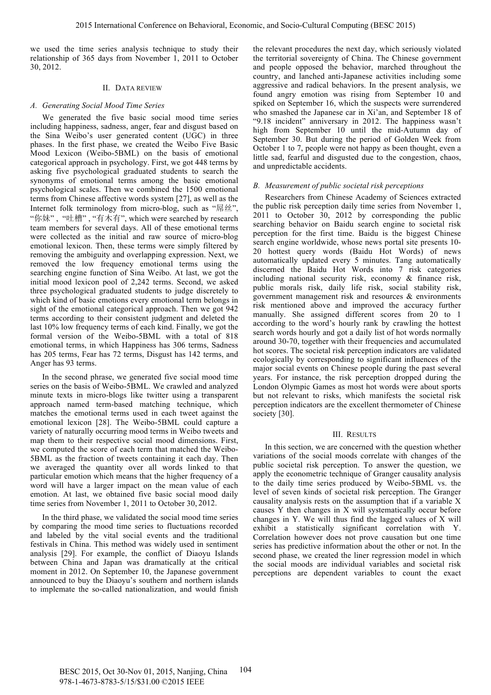we used the time series analysis technique to study their relationship of 365 days from November 1, 2011 to October 30, 2012.

# II. DATA REVIEW

# *A. Generating Social Mood Time Series*

We generated the five basic social mood time series including happiness, sadness, anger, fear and disgust based on the Sina Weibo's user generated content (UGC) in three phases. In the first phase, we created the Weibo Five Basic Mood Lexicon (Weibo-5BML) on the basis of emotional categorical approach in psychology. First, we got 448 terms by asking five psychological graduated students to search the synonyms of emotional terms among the basic emotional psychological scales. Then we combined the 1500 emotional terms from Chinese affective words system [27], as well as the Internet folk terminology from micro-blog, such as "屌丝", "你妹" , "吐槽" , "有木有", which were searched by research team members for several days. All of these emotional terms were collected as the initial and raw source of micro-blog emotional lexicon. Then, these terms were simply filtered by removing the ambiguity and overlapping expression. Next, we removed the low frequency emotional terms using the searching engine function of Sina Weibo. At last, we got the initial mood lexicon pool of 2,242 terms. Second, we asked three psychological graduated students to judge discretely to which kind of basic emotions every emotional term belongs in sight of the emotional categorical approach. Then we got 942 terms according to their consistent judgment and deleted the last 10% low frequency terms of each kind. Finally, we got the formal version of the Weibo-5BML with a total of 818 emotional terms, in which Happiness has 306 terms, Sadness has 205 terms, Fear has 72 terms, Disgust has 142 terms, and Anger has 93 terms.

In the second phrase, we generated five social mood time series on the basis of Weibo-5BML. We crawled and analyzed minute texts in micro-blogs like twitter using a transparent approach named term-based matching technique, which matches the emotional terms used in each tweet against the emotional lexicon [28]. The Weibo-5BML could capture a variety of naturally occurring mood terms in Weibo tweets and map them to their respective social mood dimensions. First, we computed the score of each term that matched the Weibo-5BML as the fraction of tweets containing it each day. Then we averaged the quantity over all words linked to that particular emotion which means that the higher frequency of a word will have a larger impact on the mean value of each emotion. At last, we obtained five basic social mood daily time series from November 1, 2011 to October 30, 2012.

In the third phase, we validated the social mood time series by comparing the mood time series to fluctuations recorded and labeled by the vital social events and the traditional festivals in China. This method was widely used in sentiment analysis [29]. For example, the conflict of Diaoyu Islands between China and Japan was dramatically at the critical moment in 2012. On September 10, the Japanese government announced to buy the Diaoyu's southern and northern islands to implemate the so-called nationalization, and would finish the relevant procedures the next day, which seriously violated the territorial sovereignty of China. The Chinese government and people opposed the behavior, marched throughout the country, and lanched anti-Japanese activities including some aggressive and radical behaviors. In the present analysis, we found angry emotion was rising from September 10 and spiked on September 16, which the suspects were surrendered who smashed the Japanese car in Xi'an, and September 18 of "9.18 incident" anniversary in 2012. The happiness wasn't high from September 10 until the mid-Autumn day of September 30. But during the period of Golden Week from October 1 to 7, people were not happy as been thought, even a little sad, fearful and disgusted due to the congestion, chaos, and unpredictable accidents.

## *B. Measurement of public societal risk perceptions*

Researchers from Chinese Academy of Sciences extracted the public risk perception daily time series from November 1, 2011 to October 30, 2012 by corresponding the public searching behavior on Baidu search engine to societal risk perception for the first time. Baidu is the biggest Chinese search engine worldwide, whose news portal site presents 10- 20 hottest query words (Baidu Hot Words) of news automatically updated every 5 minutes. Tang automatically discerned the Baidu Hot Words into 7 risk categories including national security risk, economy & finance risk, public morals risk, daily life risk, social stability risk, government management risk and resources & environments risk mentioned above and improved the accuracy further manually. She assigned different scores from 20 to 1 according to the word's hourly rank by crawling the hottest search words hourly and got a daily list of hot words normally around 30-70, together with their frequencies and accumulated hot scores. The societal risk perception indicators are validated ecologically by corresponding to significant influences of the major social events on Chinese people during the past several years. For instance, the risk perception dropped during the London Olympic Games as most hot words were about sports but not relevant to risks, which manifests the societal risk perception indicators are the excellent thermometer of Chinese society [30].

## III. RESULTS

In this section, we are concerned with the question whether variations of the social moods correlate with changes of the public societal risk perception. To answer the question, we apply the econometric technique of Granger causality analysis to the daily time series produced by Weibo-5BML vs. the level of seven kinds of societal risk perception. The Granger causality analysis rests on the assumption that if a variable X causes Y then changes in X will systematically occur before changes in Y. We will thus find the lagged values of X will exhibit a statistically significant correlation with Y. Correlation however does not prove causation but one time series has predictive information about the other or not. In the second phase, we created the liner regression model in which the social moods are individual variables and societal risk perceptions are dependent variables to count the exact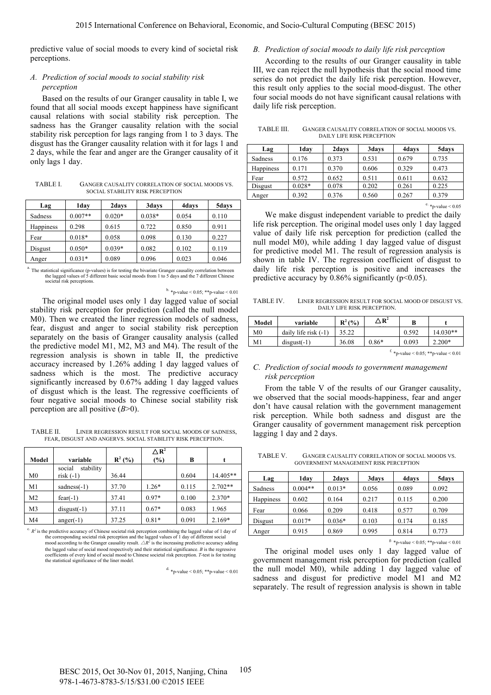predictive value of social moods to every kind of societal risk perceptions.

# *A. Prediction of social moods to social stability risk perception*

Based on the results of our Granger causality in table I, we found that all social moods except happiness have significant causal relations with social stability risk perception. The sadness has the Granger causality relation with the social stability risk perception for lags ranging from 1 to 3 days. The disgust has the Granger causality relation with it for lags 1 and 2 days, while the fear and anger are the Granger causality of it only lags 1 day.

TABLE I. GANGER CAUSALITY CORRELATION OF SOCIAL MOODS VS. SOCIAL STABILITY RISK PERCEPTION

| Lag       | 1day      | 2days    | 3days    | 4days | 5days |
|-----------|-----------|----------|----------|-------|-------|
| Sadness   | $0.007**$ | $0.020*$ | $0.038*$ | 0.054 | 0.110 |
| Happiness | 0.298     | 0.615    | 0.722    | 0.850 | 0.911 |
| Fear      | $0.018*$  | 0.058    | 0.098    | 0.130 | 0.227 |
| Disgust   | $0.050*$  | $0.039*$ | 0.082    | 0.102 | 0.119 |
| Anger     | $0.031*$  | 0.089    | 0.096    | 0.023 | 0.046 |

<sup>a.</sup> The statistical significance (p-values) is for testing the bivariate Granger causality correlation between the lagged values of 5 different basic social moods from 1 to 5 days and the 7 different Chinese societal risk perceptions.

 $^{b.}$  \*p-value < 0.05; \*\*p-value < 0.01

The original model uses only 1 day lagged value of social stability risk perception for prediction (called the null model M0). Then we created the liner regression models of sadness, fear, disgust and anger to social stability risk perception separately on the basis of Granger causality analysis (called the predictive model M1, M2, M3 and M4). The result of the regression analysis is shown in table II, the predictive accuracy increased by 1.26% adding 1 day lagged values of sadness which is the most. The predictive accuracy significantly increased by 0.67% adding 1 day lagged values of disgust which is the least. The regressive coefficients of four negative social moods to Chinese social stability risk perception are all positive (*B*>0).

TABLE II. LINER REGRESSION RESULT FOR SOCIAL MOODS OF SADNESS, FEAR, DISGUST AND ANGERVS. SOCIAL STABILITY RISK PERCEPTION.

|                |                     |           | $\Delta$ R <sup>2</sup> |       |           |
|----------------|---------------------|-----------|-------------------------|-------|-----------|
| Model          | variable            | $R^2$ (%) | $(\%)$                  | B     | t         |
|                | stability<br>social |           |                         |       |           |
| M <sub>0</sub> | $risk(-1)$          | 36.44     |                         | 0.604 | 14.405**  |
| M1             | sadness $(-1)$      | 37.70     | $1.26*$                 | 0.115 | $2.702**$ |
| M <sub>2</sub> | $fear(-1)$          | 37.41     | $0.97*$                 | 0.100 | 2.370*    |
| M <sub>3</sub> | $disgust(-1)$       | 37.11     | $0.67*$                 | 0.083 | 1.965     |
| M <sub>4</sub> | $anger(-1)$         | 37.25     | $0.81*$                 | 0.091 | $2.169*$  |

<sup>c.</sup>  $R^2$  is the predictive accuracy of Chinese societal risk perception combining the lagged value of 1 day of the corresponding societal risk perception and the lagged values of 1 day of different social mood according coefficients of every kind of social mood to Chinese societal risk perception. *T-*test is for testing the statistical significance of the liner model.

d.  $*_{p-value} < 0.05$ ;  $*_{p-value} < 0.01$ 

## *B. Prediction of social moods to daily life risk perception*

According to the results of our Granger causality in table III, we can reject the null hypothesis that the social mood time series do not predict the daily life risk perception. However, this result only applies to the social mood-disgust. The other four social moods do not have significant causal relations with daily life risk perception.

TABLE III. GANGER CAUSALITY CORRELATION OF SOCIAL MOODS VS. DAILY LIFE RISK PERCEPTION

| Lag              | 1dav     | 2days | 3days | 4days | 5days |
|------------------|----------|-------|-------|-------|-------|
| Sadness          | 0.176    | 0.373 | 0.531 | 0.679 | 0.735 |
| <b>Happiness</b> | 0.171    | 0.370 | 0.606 | 0.329 | 0.473 |
| Fear             | 0.572    | 0.652 | 0.511 | 0.611 | 0.632 |
| Disgust          | $0.028*$ | 0.078 | 0.202 | 0.261 | 0.225 |
| Anger            | 0.392    | 0.376 | 0.560 | 0.267 | 0.379 |

e.  $\ast$ p-value < 0.05

We make disgust independent variable to predict the daily life risk perception. The original model uses only 1 day lagged value of daily life risk perception for prediction (called the null model M0), while adding 1 day lagged value of disgust for predictive model M1. The result of regression analysis is shown in table IV. The regression coefficient of disgust to daily life risk perception is positive and increases the predictive accuracy by  $0.86\%$  significantly (p<0.05).

TABLE IV. LINER REGRESSION RESULT FOR SOCIAL MOOD OF DISGUST VS. DAILY LIFE RISK PERCEPTION.

| Model          | variable               | $R^2$ (%) | $\Delta$ R <sup>2</sup> | B     |            |
|----------------|------------------------|-----------|-------------------------|-------|------------|
| M <sub>0</sub> | daily life risk $(-1)$ |           |                         | 0.592 | $14.030**$ |
| M <sub>1</sub> | $disgust(-1)$          | 36.08     | $0.86*$                 | 0.093 | $2.200*$   |

 $^{\rm f.}$  \*p-value  $<$  0.05; \*\*p-value  $<$  0.01

#### *C. Prediction of social moods to government management risk perception*

From the table V of the results of our Granger causality, we observed that the social moods-happiness, fear and anger don't have causal relation with the government management risk perception. While both sadness and disgust are the Granger causality of government management risk perception lagging 1 day and 2 days.

| TABLE V. | GANGER CAUSALITY CORRELATION OF SOCIAL MOODS VS. |
|----------|--------------------------------------------------|
|          | <b>GOVERNMENT MANAGEMENT RISK PERCEPTION</b>     |

| Lag       | 1day      | 2days    | 3days | 4days | 5days |
|-----------|-----------|----------|-------|-------|-------|
| Sadness   | $0.004**$ | $0.013*$ | 0.056 | 0.089 | 0.092 |
| Happiness | 0.602     | 0.164    | 0.217 | 0.115 | 0.200 |
| Fear      | 0.066     | 0.209    | 0.418 | 0.577 | 0.709 |
| Disgust   | $0.017*$  | $0.036*$ | 0.103 | 0.174 | 0.185 |
| Anger     | 0.915     | 0.869    | 0.995 | 0.814 | 0.773 |

 $g. *_{p-value} < 0.05; **_{p-value} < 0.01$ 

The original model uses only 1 day lagged value of government management risk perception for prediction (called the null model M0), while adding 1 day lagged value of sadness and disgust for predictive model M1 and M2 separately. The result of regression analysis is shown in table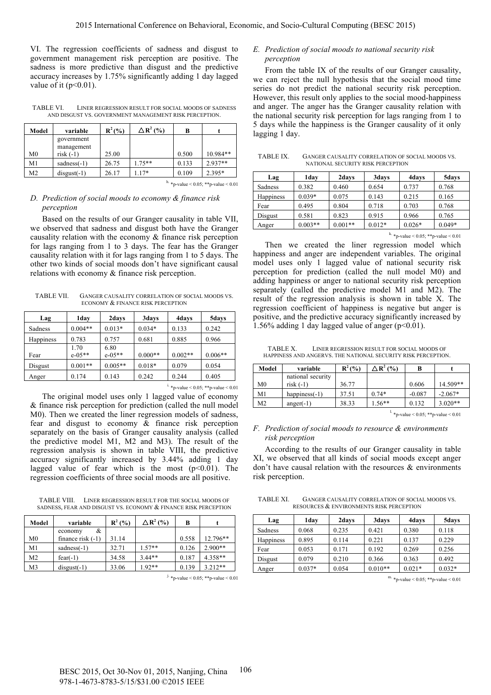VI. The regression coefficients of sadness and disgust to government management risk perception are positive. The sadness is more predictive than disgust and the predictive accuracy increases by 1.75% significantly adding 1 day lagged value of it ( $p<0.01$ ).

TABLE VI. LINER REGRESSION RESULT FOR SOCIAL MOODS OF SADNESS AND DISGUST VS. GOVERNMENT MANAGEMENT RISK PERCEPTION.

| Model          | variable       | $R^2$ (%) | $\Delta$ R <sup>2</sup> (%) | в     |           |
|----------------|----------------|-----------|-----------------------------|-------|-----------|
|                | government     |           |                             |       |           |
|                | management     |           |                             |       |           |
| M <sub>0</sub> | $risk(-1)$     | 25.00     |                             | 0.500 | 10.984**  |
| M1             | sadness $(-1)$ | 26.75     | $1.75**$                    | 0.133 | $2.937**$ |
| M <sub>2</sub> | $disgust(-1)$  | 26.17     | $117*$                      | 0.109 | $2.395*$  |
|                |                |           |                             |       |           |

h. \* p-value  $\leq 0.05$ ; \* \* p-value  $\leq 0.01$ 

# *D. Prediction of social moods to economy & finance risk perception*

Based on the results of our Granger causality in table VII, we observed that sadness and disgust both have the Granger causality relation with the economy & finance risk perception for lags ranging from 1 to 3 days. The fear has the Granger causality relation with it for lags ranging from 1 to 5 days. The other two kinds of social moods don't have significant causal relations with economy & finance risk perception.

TABLE VII. GANGER CAUSALITY CORRELATION OF SOCIAL MOODS VS. ECONOMY & FINANCE RISK PERCEPTION

| Lag       | 1day      | 2days     | 3days     | 4days     | 5days     |
|-----------|-----------|-----------|-----------|-----------|-----------|
| Sadness   | $0.004**$ | $0.013*$  | $0.034*$  | 0.133     | 0.242     |
| Happiness | 0.783     | 0.757     | 0.681     | 0.885     | 0.966     |
|           | 1.70      | 6.80      |           |           |           |
| Fear      | $e-05**$  | $e-05**$  | $0.000**$ | $0.002**$ | $0.006**$ |
| Disgust   | $0.001**$ | $0.005**$ | $0.018*$  | 0.079     | 0.054     |
| Anger     | 0.174     | 0.143     | 0.242     | 0.244     | 0.405     |

 $^{\rm i.}$  \*p-value < 0.05; \*\*p-value < 0.01

The original model uses only 1 lagged value of economy & finance risk perception for prediction (called the null model M0). Then we created the liner regression models of sadness, fear and disgust to economy & finance risk perception separately on the basis of Granger causality analysis (called the predictive model M1, M2 and M3). The result of the regression analysis is shown in table VIII, the predictive accuracy significantly increased by 3.44% adding 1 day lagged value of fear which is the most  $(p< 0.01)$ . The regression coefficients of three social moods are all positive.

TABLE VIII. LINER REGRESSION RESULT FOR THE SOCIAL MOODS OF SADNESS, FEAR AND DISGUST VS. ECONOMY & FINANCE RISK PERCEPTION

| Model          | variable            | $R^2(%)$ | $\triangle R^2$ (%) | в     |           |
|----------------|---------------------|----------|---------------------|-------|-----------|
|                | &<br>economy        |          |                     |       |           |
| M0             | finance risk $(-1)$ | 31.14    |                     | 0.558 | 12.796**  |
| M1             | sadness $(-1)$      | 32.71    | $1.57**$            | 0.126 | $2.900**$ |
| M <sub>2</sub> | $fear(-1)$          | 34.58    | $3.44**$            | 0.187 | 4.358**   |
| M3             | $disgust(-1)$       | 33.06    | $1.92**$            | 0.139 | $3.212**$ |

j. \*p-value < 0.05; \*\*p-value < 0.01

# *E. Prediction of social moods to national security risk perception*

From the table IX of the results of our Granger causality, we can reject the null hypothesis that the social mood time series do not predict the national security risk perception. However, this result only applies to the social mood-happiness and anger. The anger has the Granger causality relation with the national security risk perception for lags ranging from 1 to 5 days while the happiness is the Granger causality of it only lagging 1 day.

| Lag       | 1dav      | 2days     | 3days    | 4days    | 5days    |
|-----------|-----------|-----------|----------|----------|----------|
| Sadness   | 0.382     | 0.460     | 0.654    | 0.737    | 0.768    |
| Happiness | $0.039*$  | 0.075     | 0.143    | 0.215    | 0.165    |
| Fear      | 0.495     | 0.804     | 0.718    | 0.703    | 0.768    |
| Disgust   | 0.581     | 0.823     | 0.915    | 0.966    | 0.765    |
| Anger     | $0.003**$ | $0.001**$ | $0.012*$ | $0.026*$ | $0.049*$ |
|           |           |           |          |          |          |

TABLE IX. GANGER CAUSALITY CORRELATION OF SOCIAL MOODS VS. NATIONAL SECURITY RISK PERCEPTION

 $k. *p-value < 0.05; **p-value < 0.01$ 

Then we created the liner regression model which happiness and anger are independent variables. The original model uses only 1 lagged value of national security risk perception for prediction (called the null model M0) and adding happiness or anger to national security risk perception separately (called the predictive model M1 and M2). The result of the regression analysis is shown in table X. The regression coefficient of happiness is negative but anger is positive, and the predictive accuracy significantly increased by 1.56% adding 1 day lagged value of anger  $(p<0.01)$ .

TABLE X. LINER REGRESSION RESULT FOR SOCIAL MOODS OF HAPPINESS AND ANGERVS. THE NATIONAL SECURITY RISK PERCEPTION.

| Model          | variable          | $R^2$ (%) | $\Delta$ R <sup>2</sup> (%) |          |           |
|----------------|-------------------|-----------|-----------------------------|----------|-----------|
|                | national security |           |                             |          |           |
| M <sub>0</sub> | $risk(-1)$        | 36.77     |                             | 0.606    | 14.509**  |
| M <sub>1</sub> | happiness $(-1)$  | 37.51     | $0.74*$                     | $-0.087$ | $-2.067*$ |
| M2             | $anger(-1)$       | 38.33     | $1.56**$                    | 0.132    | $3.020**$ |

<sup>1.</sup> \*p-value < 0.05; \*\*p-value < 0.01

# *F. Prediction of social moods to resource & environments risk perception*

According to the results of our Granger causality in table XI, we observed that all kinds of social moods except anger don't have causal relation with the resources & environments risk perception.

TABLE XI. GANGER CAUSALITY CORRELATION OF SOCIAL MOODS VS. RESOURCES & ENVIRONMENTS RISK PERCEPTION

| Lag       | 1dav     | 2days | 3days     | 4days    | 5days    |
|-----------|----------|-------|-----------|----------|----------|
| Sadness   | 0.068    | 0.235 | 0.421     | 0.380    | 0.118    |
| Happiness | 0.895    | 0.114 | 0.221     | 0.137    | 0.229    |
| Fear      | 0.053    | 0.171 | 0.192     | 0.269    | 0.256    |
| Disgust   | 0.079    | 0.210 | 0.366     | 0.363    | 0.492    |
| Anger     | $0.037*$ | 0.054 | $0.010**$ | $0.021*$ | $0.032*$ |

m. \* p-value  $\leq 0.05$ ; \* \* p-value  $\leq 0.01$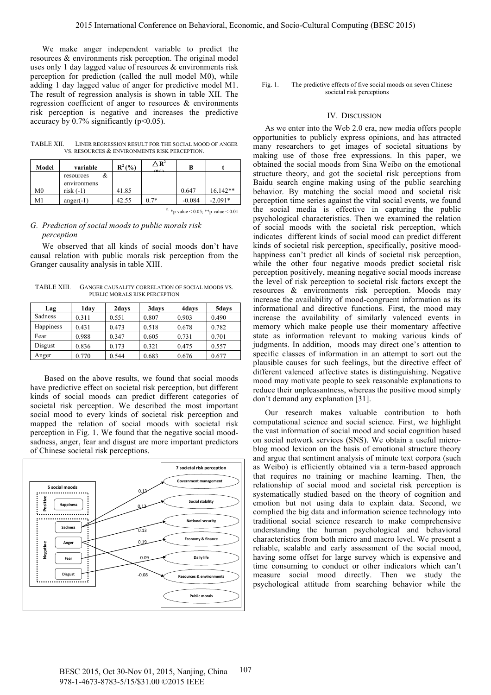We make anger independent variable to predict the resources & environments risk perception. The original model uses only 1 day lagged value of resources & environments risk perception for prediction (called the null model M0), while adding 1 day lagged value of anger for predictive model M1. The result of regression analysis is shown in table XII. The regression coefficient of anger to resources & environments risk perception is negative and increases the predictive accuracy by  $0.7\%$  significantly ( $p<0.05$ ).

TABLE XII. LINER REGRESSION RESULT FOR THE SOCIAL MOOD OF ANGER VS. RESOURCES & ENVIRONMENTS RISK PERCEPTION.

| Model | variable       | $R^2$ (%) | $\triangle R^2$<br>(0) |          |            |
|-------|----------------|-----------|------------------------|----------|------------|
|       | &<br>resources |           |                        |          |            |
|       | environmens    |           |                        |          |            |
| M0    | $risk$ $(-1)$  | 41.85     |                        | 0.647    | $16.142**$ |
| M1    | $anger(-1)$    | 42.55     | $0.7*$                 | $-0.084$ | $-2.091*$  |

<sup>n.</sup> \*p-value < 0.05; \*\*p-value < 0.01

# *G. Prediction of social moods to public morals risk perception*

We observed that all kinds of social moods don't have causal relation with public morals risk perception from the Granger causality analysis in table XIII.

TABLE XIII. GANGER CAUSALITY CORRELATION OF SOCIAL MOODS VS. PUBLIC MORALS RISK PERCEPTION

| Lag       | 1dav  | 2days | 3days | 4days | 5days |
|-----------|-------|-------|-------|-------|-------|
| Sadness   | 0.311 | 0.551 | 0.807 | 0.903 | 0.490 |
| Happiness | 0.431 | 0.473 | 0.518 | 0.678 | 0.782 |
| Fear      | 0.988 | 0.347 | 0.605 | 0.731 | 0.701 |
| Disgust   | 0.836 | 0.173 | 0.321 | 0.475 | 0.557 |
| Anger     | 0.770 | 0.544 | 0.683 | 0.676 | 0.677 |

Based on the above results, we found that social moods have predictive effect on societal risk perception, but different kinds of social moods can predict different categories of societal risk perception. We described the most important social mood to every kinds of societal risk perception and mapped the relation of social moods with societal risk perception in Fig. 1. We found that the negative social moodsadness, anger, fear and disgust are more important predictors of Chinese societal risk perceptions.



Fig. 1. The predictive effects of five social moods on seven Chinese societal risk perceptions

#### IV. DISCUSSION

As we enter into the Web 2.0 era, new media offers people opportunities to publicly express opinions, and has attracted many researchers to get images of societal situations by making use of those free expressions. In this paper, we obtained the social moods from Sina Weibo on the emotional structure theory, and got the societal risk perceptions from Baidu search engine making using of the public searching behavior. By matching the social mood and societal risk perception time series against the vital social events, we found the social media is effective in capturing the public psychological characteristics. Then we examined the relation of social moods with the societal risk perception, which indicates different kinds of social mood can predict different kinds of societal risk perception, specifically, positive moodhappiness can't predict all kinds of societal risk perception, while the other four negative moods predict societal risk perception positively, meaning negative social moods increase the level of risk perception to societal risk factors except the resources & environments risk perception. Moods may increase the availability of mood-congruent information as its informational and directive functions. First, the mood may increase the availability of similarly valenced events in memory which make people use their momentary affective state as information relevant to making various kinds of judgments. In addition, moods may direct one's attention to specific classes of information in an attempt to sort out the plausible causes for such feelings, but the directive effect of different valenced affective states is distinguishing. Negative mood may motivate people to seek reasonable explanations to reduce their unpleasantness, whereas the positive mood simply don't demand any explanation [31].

Our research makes valuable contribution to both computational science and social science. First, we highlight the vast information of social mood and social cognition based on social network services (SNS). We obtain a useful microblog mood lexicon on the basis of emotional structure theory and argue that sentiment analysis of minute text corpora (such as Weibo) is efficiently obtained via a term-based approach that requires no training or machine learning. Then, the relationship of social mood and societal risk perception is systematically studied based on the theory of cognition and emotion but not using data to explain data. Second, we complied the big data and information science technology into traditional social science research to make comprehensive understanding the human psychological and behavioral characteristics from both micro and macro level. We present a reliable, scalable and early assessment of the social mood, having some offset for large survey which is expensive and time consuming to conduct or other indicators which can't measure social mood directly. Then we study the psychological attitude from searching behavior while the